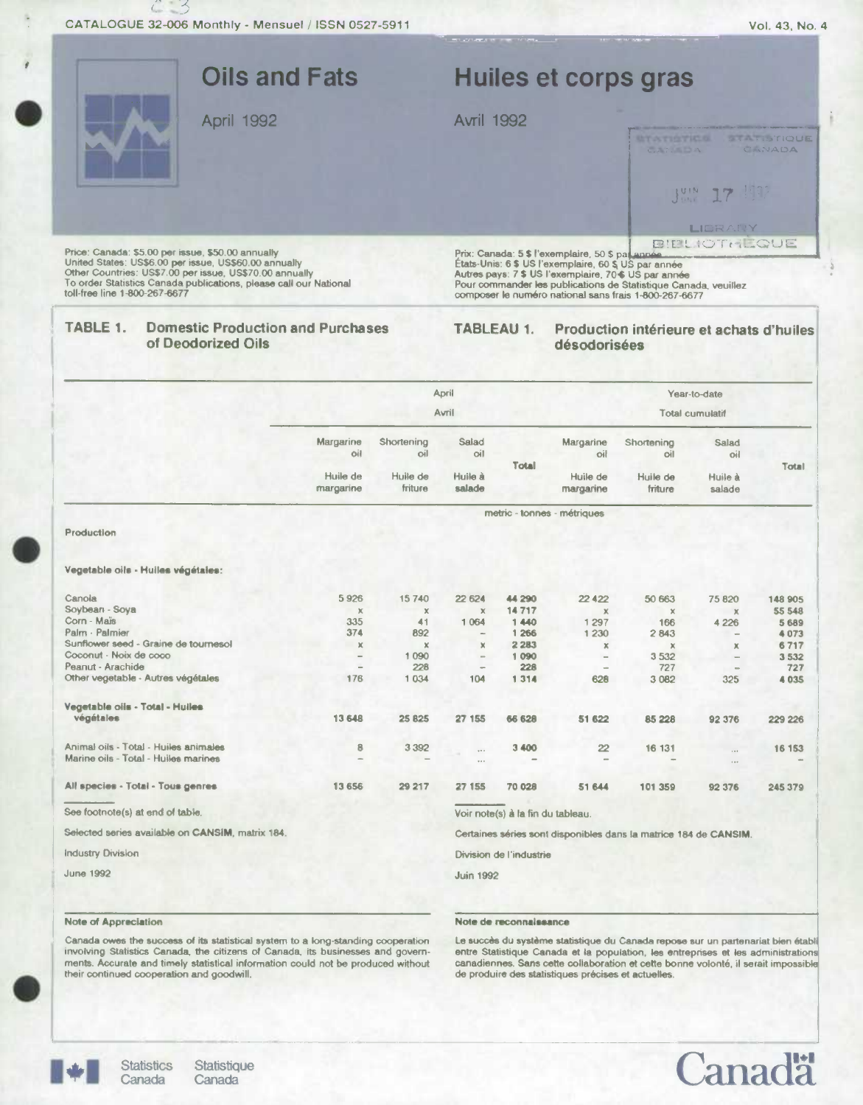:3

 $\ddot{C}$ 

|                                                                                                                                                                                                                                                                             | <b>Oils and Fats</b>  |                     |                                   |                                                                  |                                                                                                          | Huiles et corps gras                                                                                                                                                              |                     |                                  |  |
|-----------------------------------------------------------------------------------------------------------------------------------------------------------------------------------------------------------------------------------------------------------------------------|-----------------------|---------------------|-----------------------------------|------------------------------------------------------------------|----------------------------------------------------------------------------------------------------------|-----------------------------------------------------------------------------------------------------------------------------------------------------------------------------------|---------------------|----------------------------------|--|
| April 1992                                                                                                                                                                                                                                                                  |                       | <b>Avril 1992</b>   |                                   |                                                                  |                                                                                                          |                                                                                                                                                                                   |                     |                                  |  |
|                                                                                                                                                                                                                                                                             |                       |                     |                                   |                                                                  |                                                                                                          | <b>BY ATISTICS</b><br>CARTER DA                                                                                                                                                   |                     | <b>BUCKET IS TRADE</b><br>CINADA |  |
|                                                                                                                                                                                                                                                                             |                       |                     |                                   |                                                                  |                                                                                                          | Just .                                                                                                                                                                            |                     |                                  |  |
|                                                                                                                                                                                                                                                                             |                       |                     |                                   |                                                                  |                                                                                                          |                                                                                                                                                                                   | LIDRAILY            |                                  |  |
| Price: Canada: \$5.00 per issue, \$50.00 annually<br>United States: US\$6.00 per issue, US\$60.00 annually<br>Other Countries: US\$7.00 per issue, US\$70.00 annually<br>To order Statistics Canada publications, please call our National<br>toll-free line 1-800-267-6677 |                       |                     |                                   |                                                                  | Prix: Canada: 5 \$ l'exemplaire, 50 \$ par année<br>Etats-Unis: 6 \$ US l'exemplaire, 60 \$ US par année | Autres pays: 7 \$ US l'exemplaire, 70 \$ US par année<br>Pour commander les publications de Statistique Canada, veuillez<br>composer le numéro national sans frais 1-800-267-6677 | <b>BIELIOTHLOUE</b> |                                  |  |
| TABLE 1.<br><b>Domestic Production and Purchases</b><br>of Deodorized Oils                                                                                                                                                                                                  |                       |                     |                                   | <b>TABLEAU 1.</b>                                                | désodorisées                                                                                             | Production intérieure et achats d'huiles                                                                                                                                          |                     |                                  |  |
|                                                                                                                                                                                                                                                                             |                       |                     | <b>April</b>                      |                                                                  |                                                                                                          |                                                                                                                                                                                   | Year-to-date        |                                  |  |
|                                                                                                                                                                                                                                                                             |                       | Avril               |                                   |                                                                  |                                                                                                          | Total cumulatif                                                                                                                                                                   |                     |                                  |  |
|                                                                                                                                                                                                                                                                             | Margarine<br>oil      | Shortening<br>oil   | Salad<br>oil                      |                                                                  | Margarine<br>oil                                                                                         | Shortening<br>oil                                                                                                                                                                 | Salad<br>oil        |                                  |  |
|                                                                                                                                                                                                                                                                             | Huile de<br>margarine | Huile de<br>friture | Huile à<br>salade                 | <b>Total</b>                                                     | Huile de<br>margarine                                                                                    | Huile de<br>friture                                                                                                                                                               | Huile à<br>salade   | Total                            |  |
|                                                                                                                                                                                                                                                                             |                       |                     |                                   |                                                                  | metric - tonnes - métriques                                                                              |                                                                                                                                                                                   |                     |                                  |  |
| Production                                                                                                                                                                                                                                                                  |                       |                     |                                   |                                                                  |                                                                                                          |                                                                                                                                                                                   |                     |                                  |  |
| Vegetable oils - Huiles végétales:                                                                                                                                                                                                                                          |                       |                     |                                   |                                                                  |                                                                                                          |                                                                                                                                                                                   |                     |                                  |  |
| Canola<br>Soybean - Soya                                                                                                                                                                                                                                                    | 5926                  | 15740               | 22 624                            | 44 290                                                           | 22 4 22                                                                                                  | 50 663                                                                                                                                                                            | 75 820              | 148 905                          |  |
| Corn - Maïs                                                                                                                                                                                                                                                                 | $\times$<br>335       | X<br>41             | $\mathbb X$<br>1 0 6 4            | 14717<br>1440                                                    | $\times$<br>1 2 9 7                                                                                      | $\times$<br>166                                                                                                                                                                   | $\times$<br>4 2 2 6 | 55 548<br>5 6 8 9                |  |
| Palm - Palmier                                                                                                                                                                                                                                                              | 374                   | 892                 | $\overline{\phantom{a}}$          | 1 266                                                            | 1 2 3 0                                                                                                  | 2843                                                                                                                                                                              |                     | 4073                             |  |
| Sunflower seed - Graine de tournesol<br>Coconut - Noix de coco                                                                                                                                                                                                              | $\chi$                | ×                   | ×                                 | 2 2 8 3                                                          | ×                                                                                                        | $\mathbf x$                                                                                                                                                                       | ж                   | 6717                             |  |
| Peanut - Arachide                                                                                                                                                                                                                                                           |                       | 1090<br>228         | $\overline{\phantom{m}}$          | 1 090<br>228                                                     |                                                                                                          | 3532<br>727                                                                                                                                                                       |                     | 3 5 3 2<br>727                   |  |
| Other vegetable - Autres végétales                                                                                                                                                                                                                                          | 176                   | 1 0 3 4             | 104                               | 1 3 1 4                                                          | 628                                                                                                      | 3 0 8 2                                                                                                                                                                           | 325                 | 4 0 3 5                          |  |
| Vegetable oils - Total - Hulles                                                                                                                                                                                                                                             |                       |                     |                                   |                                                                  |                                                                                                          |                                                                                                                                                                                   |                     |                                  |  |
| végétales                                                                                                                                                                                                                                                                   | 13 648                | 25 825              | 27 155                            | 66 628                                                           | 51 622                                                                                                   | 85 228                                                                                                                                                                            | 92 376              | 229 226                          |  |
| Animal oils - Total - Huiles animales<br>Marine oils - Total - Huiles marines                                                                                                                                                                                               | 8                     | 3 3 9 2             | $\cdots$<br>$\cdots$              | 3 400                                                            | $\overline{22}$                                                                                          | 16 131                                                                                                                                                                            | $\cdots$<br>        | 16 153                           |  |
| All species - Total - Tous genres                                                                                                                                                                                                                                           | 13 656                | 29 217              | 27 155                            | 70 028                                                           | 51 644                                                                                                   | 101 359                                                                                                                                                                           | 92 376              | 245 379                          |  |
| See footnote(s) at end of table.                                                                                                                                                                                                                                            |                       |                     | Voir note(s) à la fin du tableau. |                                                                  |                                                                                                          |                                                                                                                                                                                   |                     |                                  |  |
| Selected series available on CANSIM, matrix 184.                                                                                                                                                                                                                            |                       |                     |                                   | Certaines séries sont disponibles dans la matrice 184 de CANSIM. |                                                                                                          |                                                                                                                                                                                   |                     |                                  |  |
| <b>Industry Division</b>                                                                                                                                                                                                                                                    |                       |                     | Division de l'industrie           |                                                                  |                                                                                                          |                                                                                                                                                                                   |                     |                                  |  |
|                                                                                                                                                                                                                                                                             |                       |                     |                                   |                                                                  |                                                                                                          |                                                                                                                                                                                   |                     |                                  |  |

June 1992

## **Note of Appreciation Note do reconnaissance**

Juin 1992

Canada owes the success of its statistical system to a long-standing cooperation involving Statistics Canada, the citizens of Canada, its businesses and governinvolving Statistics Canada, the citizens of Canada, its businesses and govern-entre Statistique Canada et la population, les entreprises et les administrations<br>ments. Accurate and timely statistical information could not



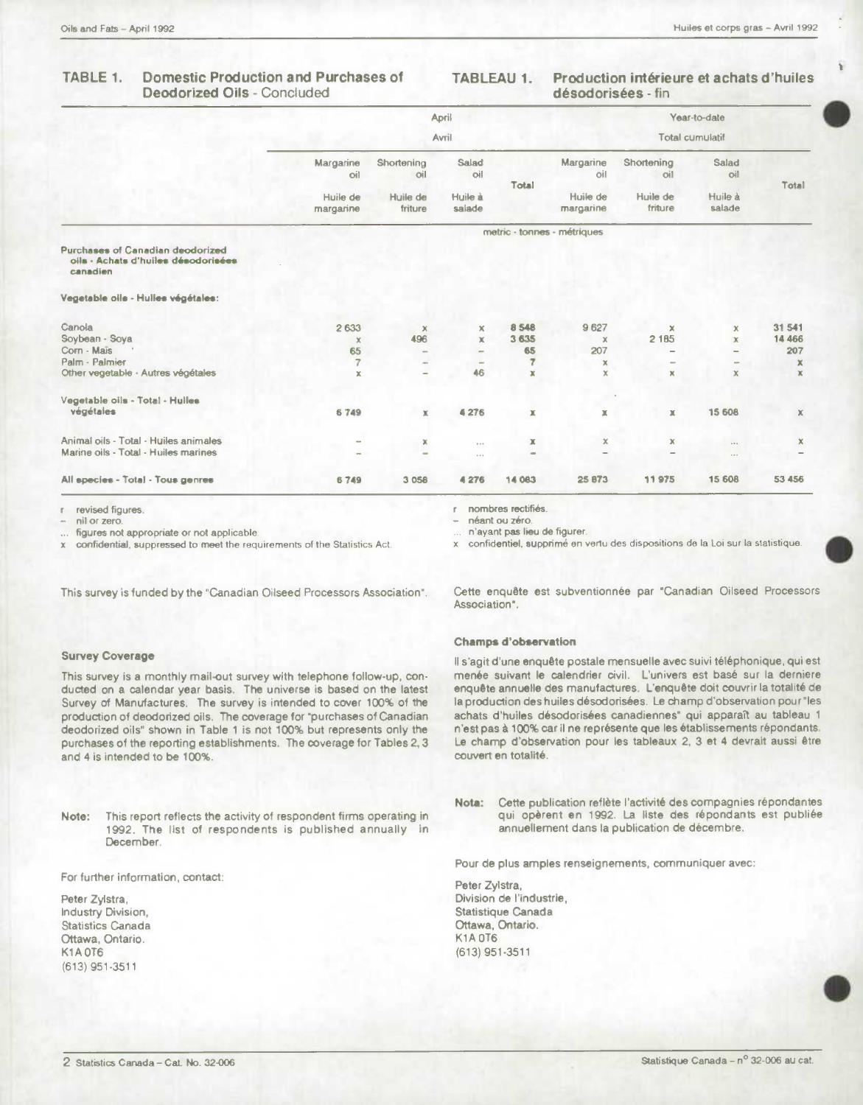#### **Domestic Production and Purchases of** TABLE 1. **Deodorized Oils - Concluded**

### Production intérieure et achats d'huiles **TABLEAU 1.** désodorisées - fin

|                                                                                     | April<br>Avril        |                              |                          |                |                             | Year-to-date        |                              |                |  |
|-------------------------------------------------------------------------------------|-----------------------|------------------------------|--------------------------|----------------|-----------------------------|---------------------|------------------------------|----------------|--|
|                                                                                     |                       |                              |                          |                | <b>Total cumulatif</b>      |                     |                              |                |  |
|                                                                                     | Margarine<br>oil      | Shortening<br>oil            | Salad<br>oil             | Total          | Margarine<br>oil            | Shortening<br>oil   | Salad<br>oil                 | Total          |  |
|                                                                                     | Huile de<br>margarine | Huile de<br>friture          |                          |                | Huile de<br>margarine       | Huile de<br>friture | Huile à<br>salade            |                |  |
|                                                                                     |                       |                              |                          |                | metric - tonnes - métriques |                     |                              |                |  |
| Purchases of Canadian deodorized<br>oils - Achats d'huiles désodorisées<br>canadien |                       |                              |                          |                |                             |                     |                              |                |  |
| Vegetable oils - Hulles végétales:                                                  |                       |                              |                          |                |                             |                     |                              |                |  |
| Canola                                                                              | 2633                  | $\mathbf x$                  | x                        | 8 548          | 9627                        | $\mathbf x$         | $\mathbf x$                  | 31 541         |  |
| Soybean - Soya                                                                      | $\times$              | 496                          | $\mathbf x$              | 3 635          | $\times$                    | 2 1 8 5             | x                            | 14 4 6 6       |  |
| Corn - Mais                                                                         | 65                    | $\overline{\phantom{a}}$     | $\equiv$                 | 65             | 207                         |                     |                              | 207            |  |
| Palm - Palmier                                                                      | $\overline{7}$        | en.                          | $\overline{\phantom{a}}$ | $\overline{z}$ | ×                           |                     | $\qquad \qquad \blacksquare$ | x              |  |
| Other vegetable - Autres végétales                                                  | $\mathbf x$           | $\overline{\phantom{0}}$     | 46                       | x              | $\mathbb X$                 | ×                   | x                            | $\mathbf{x}$   |  |
| Vegetable oils - Total - Hulles                                                     |                       |                              |                          |                |                             |                     |                              |                |  |
| végétaies                                                                           | 6749                  | $\mathbb X$                  | 4 276                    | x              | $\mathbb X$                 | $\mathbb X$         | 15 608                       | $\mathbb X$    |  |
| Animal oils - Total - Huiles animales                                               |                       | ×                            | 1.11                     | x              | $\mathbb X$                 | $\mathbf x$         |                              | $\pmb{\times}$ |  |
| Marine oils - Total - Huiles marines                                                |                       | $\qquad \qquad \blacksquare$ | $\sim$ 0.00              | -              |                             |                     | $\cdots$                     |                |  |
| All species - Total - Tous genres                                                   | 6749                  | 3 0 5 8                      | 4 276                    | 14 083         | 25 873                      | 11975               | 15 608                       | 53 456         |  |

revised figures. F.

nil or zero.

figures not appropriate or not applicable.

confidential, suppressed to meet the requirements of the Statistics Act.

This survey is funded by the "Canadian Oilseed Processors Association".

## **Survey Coverage**

This survey is a monthly mail-out survey with telephone follow-up, conducted on a calendar year basis. The universe is based on the latest Survey of Manufactures. The survey is intended to cover 100% of the production of deodorized oils. The coverage for "purchases of Canadian deodorized oils" shown in Table 1 is not 100% but represents only the purchases of the reporting establishments. The coverage for Tables 2, 3 and 4 is intended to be 100%.

This report reflects the activity of respondent firms operating in Note: 1992. The list of respondents is published annually in December.

For further information, contact:

Peter Zylstra, Industry Division, **Statistics Canada** Ottawa, Ontario. **K1A0T6** (613) 951-3511

nombres rectifiés. r.

néant ou zéro.

n'ayant pas lieu de figurer.

confidentiel, supprimé en vertu des dispositions de la Loi sur la statistique. ¥

Cette enquête est subventionnée par "Canadian Oilseed Processors Association".

## **Champs d'observation**

Il s'agit d'une enquête postale mensuelle avec suivi téléphonique, qui est menée suivant le calendrier civil. L'univers est basé sur la derniere enquête annuelle des manufactures. L'enquête doit couvrir la totalité de la production des huiles désodorisées. Le champ d'observation pour "les achats d'huiles désodorisées canadiennes" qui apparaît au tableau 1 n'est pas à 100% car il ne représente que les établissements répondants. Le champ d'observation pour les tableaux 2, 3 et 4 devrait aussi être couvert en totalité.

Cette publication reflète l'activité des compagnies répondantes Nota: qui opèrent en 1992. La liste des répondants est publiée annuellement dans la publication de décembre.

Pour de plus amples renseignements, communiquer avec:

Peter Zylstra, Division de l'industrie, Statistique Canada Ottawa, Ontario. **K1A 0T6** (613) 951-3511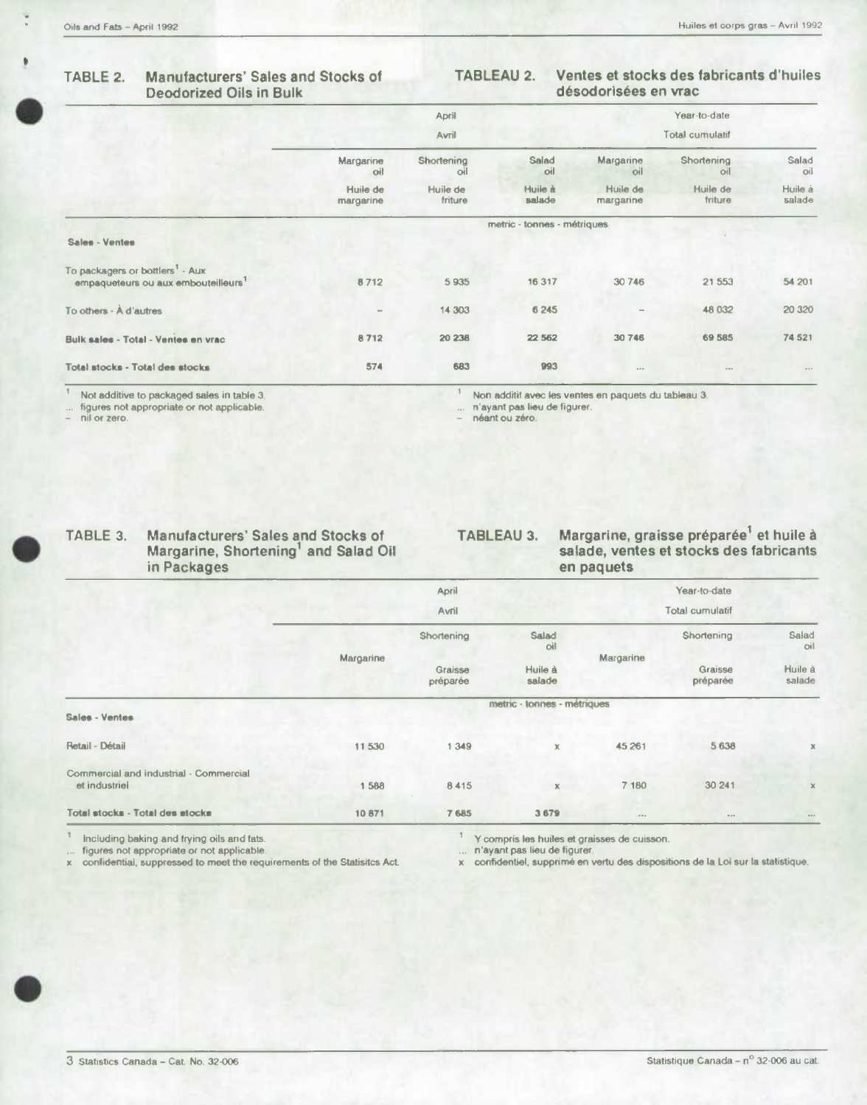## **TABLE 2. Manufacturers' Sales and Stocks of Deodorized Oils in Bulk**

## **TABLEAU 2. Ventes et stocks des tabricants d'huiles désodorisées en vrac**

| TABLE 2.                                                                                       | <b>Manufacturers' Sales and Stocks of</b><br><b>Deodorized Oils in Bulk</b> |                       | Ventes et stocks des fabricants d'huiles<br>TABLEAU 2.<br>désodorisées en vrac |                             |                       |                     |                   |
|------------------------------------------------------------------------------------------------|-----------------------------------------------------------------------------|-----------------------|--------------------------------------------------------------------------------|-----------------------------|-----------------------|---------------------|-------------------|
|                                                                                                |                                                                             |                       | April                                                                          |                             |                       | Year-to-date        |                   |
|                                                                                                |                                                                             |                       | Avril                                                                          |                             |                       | Total cumulatif     |                   |
|                                                                                                |                                                                             | Margarine<br>oil      | Shortening<br>oil                                                              | Salad<br>oil                | Margarine<br>oil      | Shortening<br>O(1)  | Salad<br>oil      |
|                                                                                                |                                                                             | Huile de<br>margarine | Huile de<br>friture                                                            | Huile à<br>salade           | Huile de<br>margarine | Huile de<br>friture | Huile à<br>salade |
|                                                                                                |                                                                             |                       |                                                                                | metric - tonnes - métriques |                       |                     |                   |
| Sales - Ventes                                                                                 |                                                                             |                       |                                                                                |                             |                       |                     |                   |
| To packagers or bottlers <sup>1</sup> - Aux<br>empaqueteurs ou aux embouteilleurs <sup>1</sup> |                                                                             | 8712                  | 5935                                                                           | 16 317                      | 30 746                | 21 5 53             | 54 201            |
| To others - A d'autres                                                                         |                                                                             |                       | 14 303                                                                         | 6 2 4 5                     | $\sim$                | 48 032              | 20 320            |
| Bulk sales - Total - Ventes en vrac                                                            |                                                                             | 8712                  | 20 238                                                                         | 22 5 62                     | 30746                 | 69 585              | 74 521            |
| Total stocks - Total des stocks                                                                |                                                                             | 574                   | 683                                                                            | 993                         | 1000                  | 0.00                |                   |
|                                                                                                |                                                                             |                       |                                                                                |                             |                       |                     |                   |

 $\overline{\mathbb{1}}$ 

figures not appropriate or not applicable. ... nayant pas lieu de figurer. - nil or zero. - néant **041** zero.

Not additive to packaged sales in table 3.<br>
figures not appropriate or not applicable.<br>
nil or zero.<br>  $\begin{array}{r} 1 \quad \text{Non additif avec less ventes en paquest du tableau 3.} \\ \dots \quad \text{n'ayant pas lieu de figurer.} \\ \text{n'hat ou zéro.} \end{array}$ 

# **TABLE 3. Manufacturers' Sales and Stocks of Margarine, Shortening' and Salad Oil**

## **TABLEAU 3. Margarine, graisse préparée' et huile à salade, ventes et stocks des fabricants en paquets**

|                                                         |           | April               |                             |           | Year-to-date        |                   |
|---------------------------------------------------------|-----------|---------------------|-----------------------------|-----------|---------------------|-------------------|
|                                                         |           | Avril               | Total cumulatif             |           |                     |                   |
|                                                         | Margarine | Shortening          | Salad<br>oil                | Margarine | Shortening          | Salad<br>oil      |
|                                                         |           | Graisse<br>préparée | Huile à<br>salade           |           | Graisse<br>préparée | Huile à<br>salade |
|                                                         |           |                     | metric - tonnes - métriques |           |                     |                   |
| Sales - Ventes                                          |           |                     |                             |           |                     |                   |
| Retail - Détail                                         | 11 530    | 1 349               | x                           | 45 261    | 5 6 3 8             | x                 |
| Commercial and industrial - Commercial<br>et industriel | 1588      | 8415                | $\mathbb{X}$                | 7 180     | 30 241              | $\mathbb X$       |
| Total stocks - Total des stocks                         | 10871     | 7685                | 3 679                       | $\cdots$  | $\alpha + \alpha$   | $0.04 - 0.00$     |

Including baking and frying oils and fats.<br>figures not appropriate or not applicable.<br>confidential, suppressed to meet the requirements of the Statisitcs Act.

Y compris les huiles et graisses de cuisson.<br>n'ayant pas lieu de figurer.

x confidentiel, supprimé en vertu des dispositions de la Loi sur la statistique.